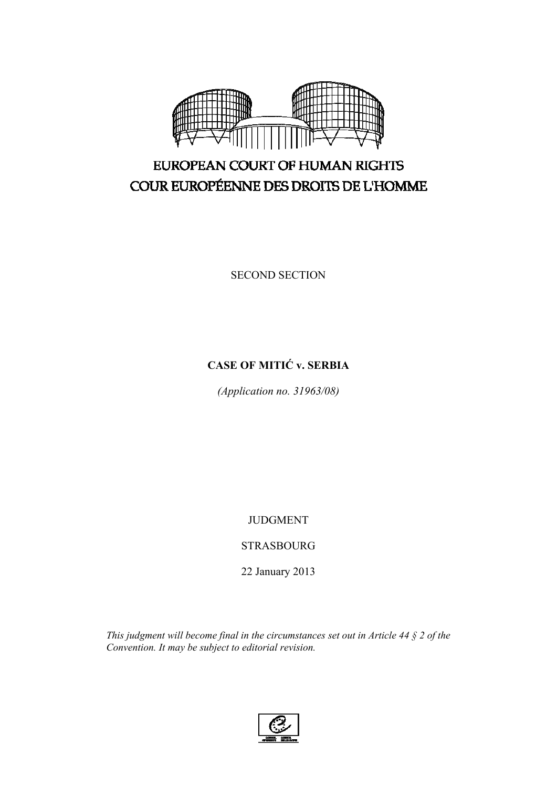

# EUROPEAN COURT OF HUMAN RIGHTS COUR EUROPÉENNE DES DROITS DE L'HOMME

SECOND SECTION

# **CASE OF MITIĆ v. SERBIA**

*(Application no. 31963/08)* 

JUDGMENT

STRASBOURG

22 January 2013

*This judgment will become final in the circumstances set out in Article 44 § 2 of the Convention. It may be subject to editorial revision.* 

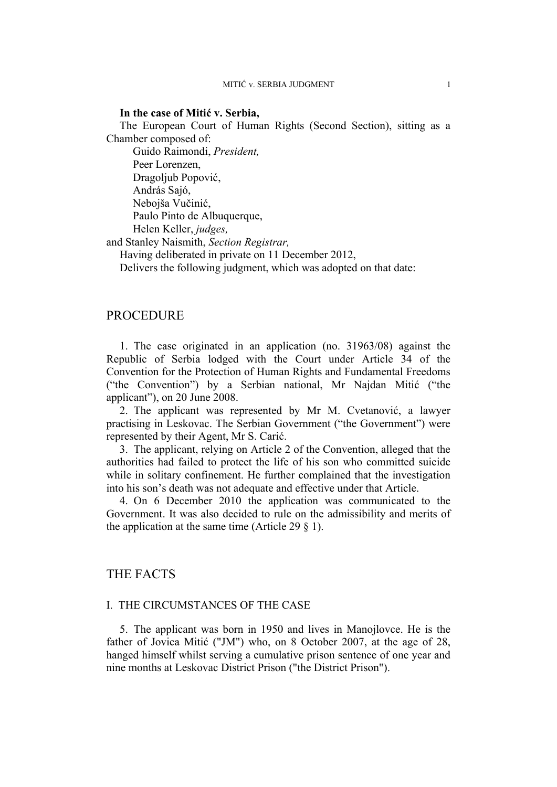#### **In the case of Mitić v. Serbia,**

The European Court of Human Rights (Second Section), sitting as a Chamber composed of:

 Guido Raimondi, *President,*  Peer Lorenzen, Dragoljub Popović, András Sajó, Nebojša Vučinić, Paulo Pinto de Albuquerque, Helen Keller, *judges,* 

and Stanley Naismith, *Section Registrar,*

Having deliberated in private on 11 December 2012,

Delivers the following judgment, which was adopted on that date:

# PROCEDURE

1. The case originated in an application (no. 31963/08) against the Republic of Serbia lodged with the Court under Article 34 of the Convention for the Protection of Human Rights and Fundamental Freedoms ("the Convention") by a Serbian national, Mr Najdan Mitić ("the applicant"), on 20 June 2008.

2. The applicant was represented by Mr M. Cvetanović, a lawyer practising in Leskovac. The Serbian Government ("the Government") were represented by their Agent, Mr S. Carić.

3. The applicant, relying on Article 2 of the Convention, alleged that the authorities had failed to protect the life of his son who committed suicide while in solitary confinement. He further complained that the investigation into his son's death was not adequate and effective under that Article.

4. On 6 December 2010 the application was communicated to the Government. It was also decided to rule on the admissibility and merits of the application at the same time (Article 29  $\S$  1).

# THE FACTS

#### I. THE CIRCUMSTANCES OF THE CASE

5. The applicant was born in 1950 and lives in Manojlovce. He is the father of Jovica Mitić ("JM") who, on 8 October 2007, at the age of 28, hanged himself whilst serving a cumulative prison sentence of one year and nine months at Leskovac District Prison ("the District Prison").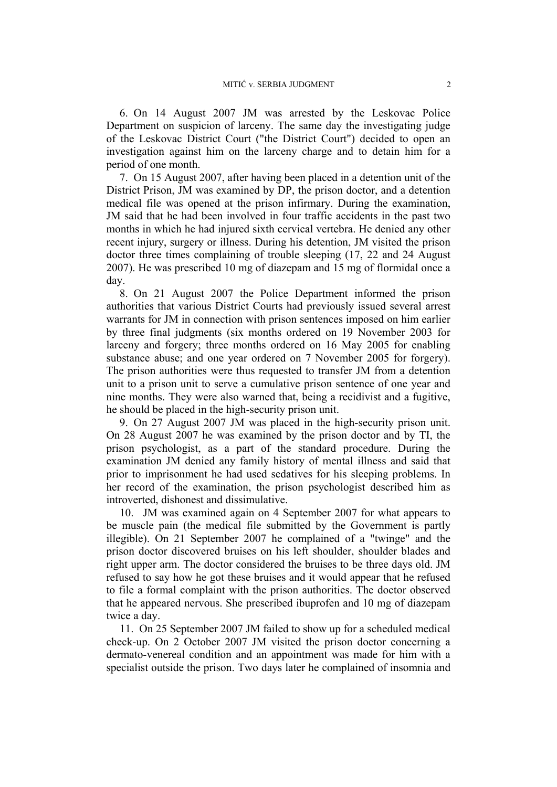6. On 14 August 2007 JM was arrested by the Leskovac Police Department on suspicion of larceny. The same day the investigating judge of the Leskovac District Court ("the District Court") decided to open an investigation against him on the larceny charge and to detain him for a period of one month.

7. On 15 August 2007, after having been placed in a detention unit of the District Prison, JM was examined by DP, the prison doctor, and a detention medical file was opened at the prison infirmary. During the examination, JM said that he had been involved in four traffic accidents in the past two months in which he had injured sixth cervical vertebra. He denied any other recent injury, surgery or illness. During his detention, JM visited the prison doctor three times complaining of trouble sleeping (17, 22 and 24 August 2007). He was prescribed 10 mg of diazepam and 15 mg of flormidal once a day.

8. On 21 August 2007 the Police Department informed the prison authorities that various District Courts had previously issued several arrest warrants for JM in connection with prison sentences imposed on him earlier by three final judgments (six months ordered on 19 November 2003 for larceny and forgery; three months ordered on 16 May 2005 for enabling substance abuse; and one year ordered on 7 November 2005 for forgery). The prison authorities were thus requested to transfer JM from a detention unit to a prison unit to serve a cumulative prison sentence of one year and nine months. They were also warned that, being a recidivist and a fugitive, he should be placed in the high-security prison unit.

9. On 27 August 2007 JM was placed in the high-security prison unit. On 28 August 2007 he was examined by the prison doctor and by TI, the prison psychologist, as a part of the standard procedure. During the examination JM denied any family history of mental illness and said that prior to imprisonment he had used sedatives for his sleeping problems. In her record of the examination, the prison psychologist described him as introverted, dishonest and dissimulative.

10. JM was examined again on 4 September 2007 for what appears to be muscle pain (the medical file submitted by the Government is partly illegible). On 21 September 2007 he complained of a "twinge" and the prison doctor discovered bruises on his left shoulder, shoulder blades and right upper arm. The doctor considered the bruises to be three days old. JM refused to say how he got these bruises and it would appear that he refused to file a formal complaint with the prison authorities. The doctor observed that he appeared nervous. She prescribed ibuprofen and 10 mg of diazepam twice a day.

11. On 25 September 2007 JM failed to show up for a scheduled medical check-up. On 2 October 2007 JM visited the prison doctor concerning a dermato-venereal condition and an appointment was made for him with a specialist outside the prison. Two days later he complained of insomnia and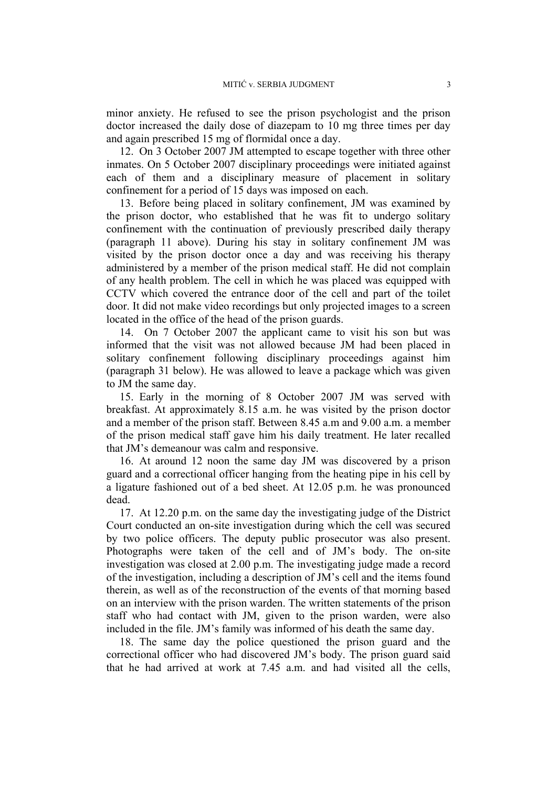minor anxiety. He refused to see the prison psychologist and the prison doctor increased the daily dose of diazepam to 10 mg three times per day and again prescribed 15 mg of flormidal once a day.

12. On 3 October 2007 JM attempted to escape together with three other inmates. On 5 October 2007 disciplinary proceedings were initiated against each of them and a disciplinary measure of placement in solitary confinement for a period of 15 days was imposed on each.

13. Before being placed in solitary confinement, JM was examined by the prison doctor, who established that he was fit to undergo solitary confinement with the continuation of previously prescribed daily therapy (paragraph 11 above). During his stay in solitary confinement JM was visited by the prison doctor once a day and was receiving his therapy administered by a member of the prison medical staff. He did not complain of any health problem. The cell in which he was placed was equipped with CCTV which covered the entrance door of the cell and part of the toilet door. It did not make video recordings but only projected images to a screen located in the office of the head of the prison guards.

14. On 7 October 2007 the applicant came to visit his son but was informed that the visit was not allowed because JM had been placed in solitary confinement following disciplinary proceedings against him (paragraph 31 below). He was allowed to leave a package which was given to JM the same day.

15. Early in the morning of 8 October 2007 JM was served with breakfast. At approximately 8.15 a.m. he was visited by the prison doctor and a member of the prison staff. Between 8.45 a.m and 9.00 a.m. a member of the prison medical staff gave him his daily treatment. He later recalled that JM's demeanour was calm and responsive.

16. At around 12 noon the same day JM was discovered by a prison guard and a correctional officer hanging from the heating pipe in his cell by a ligature fashioned out of a bed sheet. At 12.05 p.m. he was pronounced dead.

17. At 12.20 p.m. on the same day the investigating judge of the District Court conducted an on-site investigation during which the cell was secured by two police officers. The deputy public prosecutor was also present. Photographs were taken of the cell and of JM's body. The on-site investigation was closed at 2.00 p.m. The investigating judge made a record of the investigation, including a description of JM's cell and the items found therein, as well as of the reconstruction of the events of that morning based on an interview with the prison warden. The written statements of the prison staff who had contact with JM, given to the prison warden, were also included in the file. JM's family was informed of his death the same day.

18. The same day the police questioned the prison guard and the correctional officer who had discovered JM's body. The prison guard said that he had arrived at work at 7.45 a.m. and had visited all the cells,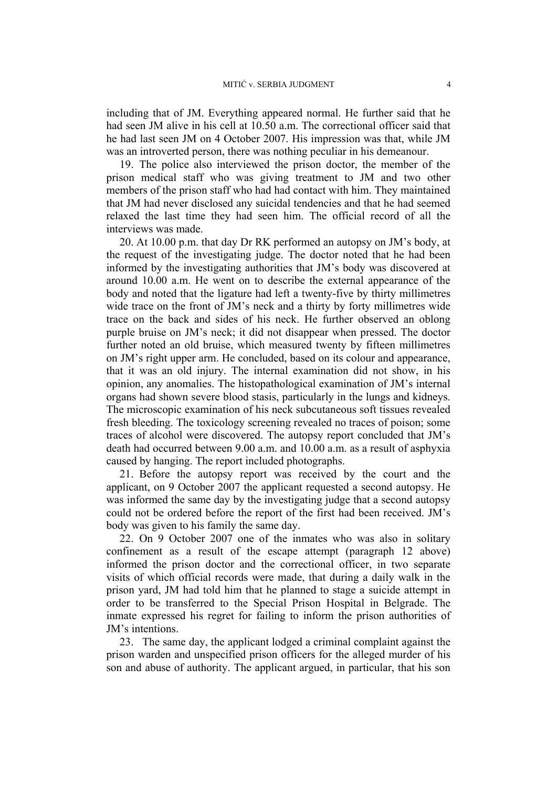including that of JM. Everything appeared normal. He further said that he had seen JM alive in his cell at 10.50 a.m. The correctional officer said that he had last seen JM on 4 October 2007. His impression was that, while JM was an introverted person, there was nothing peculiar in his demeanour.

19. The police also interviewed the prison doctor, the member of the prison medical staff who was giving treatment to JM and two other members of the prison staff who had had contact with him. They maintained that JM had never disclosed any suicidal tendencies and that he had seemed relaxed the last time they had seen him. The official record of all the interviews was made.

20. At 10.00 p.m. that day Dr RK performed an autopsy on JM's body, at the request of the investigating judge. The doctor noted that he had been informed by the investigating authorities that JM's body was discovered at around 10.00 a.m. He went on to describe the external appearance of the body and noted that the ligature had left a twenty-five by thirty millimetres wide trace on the front of JM's neck and a thirty by forty millimetres wide trace on the back and sides of his neck. He further observed an oblong purple bruise on JM's neck; it did not disappear when pressed. The doctor further noted an old bruise, which measured twenty by fifteen millimetres on JM's right upper arm. He concluded, based on its colour and appearance, that it was an old injury. The internal examination did not show, in his opinion, any anomalies. The histopathological examination of JM's internal organs had shown severe blood stasis, particularly in the lungs and kidneys. The microscopic examination of his neck subcutaneous soft tissues revealed fresh bleeding. The toxicology screening revealed no traces of poison; some traces of alcohol were discovered. The autopsy report concluded that JM's death had occurred between 9.00 a.m. and 10.00 a.m. as a result of asphyxia caused by hanging. The report included photographs.

21. Before the autopsy report was received by the court and the applicant, on 9 October 2007 the applicant requested a second autopsy. He was informed the same day by the investigating judge that a second autopsy could not be ordered before the report of the first had been received. JM's body was given to his family the same day.

22. On 9 October 2007 one of the inmates who was also in solitary confinement as a result of the escape attempt (paragraph 12 above) informed the prison doctor and the correctional officer, in two separate visits of which official records were made, that during a daily walk in the prison yard, JM had told him that he planned to stage a suicide attempt in order to be transferred to the Special Prison Hospital in Belgrade. The inmate expressed his regret for failing to inform the prison authorities of JM's intentions.

23. The same day, the applicant lodged a criminal complaint against the prison warden and unspecified prison officers for the alleged murder of his son and abuse of authority. The applicant argued, in particular, that his son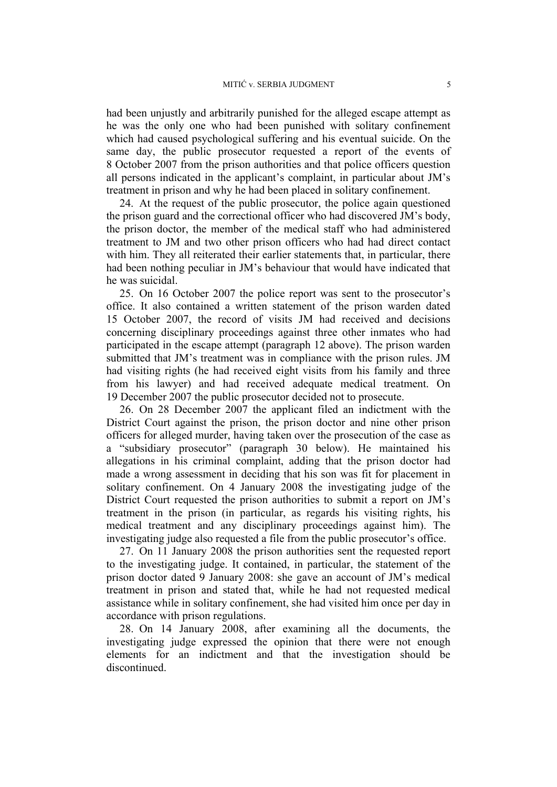had been unjustly and arbitrarily punished for the alleged escape attempt as he was the only one who had been punished with solitary confinement which had caused psychological suffering and his eventual suicide. On the same day, the public prosecutor requested a report of the events of 8 October 2007 from the prison authorities and that police officers question all persons indicated in the applicant's complaint, in particular about JM's treatment in prison and why he had been placed in solitary confinement.

24. At the request of the public prosecutor, the police again questioned the prison guard and the correctional officer who had discovered JM's body, the prison doctor, the member of the medical staff who had administered treatment to JM and two other prison officers who had had direct contact with him. They all reiterated their earlier statements that, in particular, there had been nothing peculiar in JM's behaviour that would have indicated that he was suicidal.

25. On 16 October 2007 the police report was sent to the prosecutor's office. It also contained a written statement of the prison warden dated 15 October 2007, the record of visits JM had received and decisions concerning disciplinary proceedings against three other inmates who had participated in the escape attempt (paragraph 12 above). The prison warden submitted that JM's treatment was in compliance with the prison rules. JM had visiting rights (he had received eight visits from his family and three from his lawyer) and had received adequate medical treatment. On 19 December 2007 the public prosecutor decided not to prosecute.

26. On 28 December 2007 the applicant filed an indictment with the District Court against the prison, the prison doctor and nine other prison officers for alleged murder, having taken over the prosecution of the case as a "subsidiary prosecutor" (paragraph 30 below). He maintained his allegations in his criminal complaint, adding that the prison doctor had made a wrong assessment in deciding that his son was fit for placement in solitary confinement. On 4 January 2008 the investigating judge of the District Court requested the prison authorities to submit a report on JM's treatment in the prison (in particular, as regards his visiting rights, his medical treatment and any disciplinary proceedings against him). The investigating judge also requested a file from the public prosecutor's office.

27. On 11 January 2008 the prison authorities sent the requested report to the investigating judge. It contained, in particular, the statement of the prison doctor dated 9 January 2008: she gave an account of JM's medical treatment in prison and stated that, while he had not requested medical assistance while in solitary confinement, she had visited him once per day in accordance with prison regulations.

28. On 14 January 2008, after examining all the documents, the investigating judge expressed the opinion that there were not enough elements for an indictment and that the investigation should be discontinued.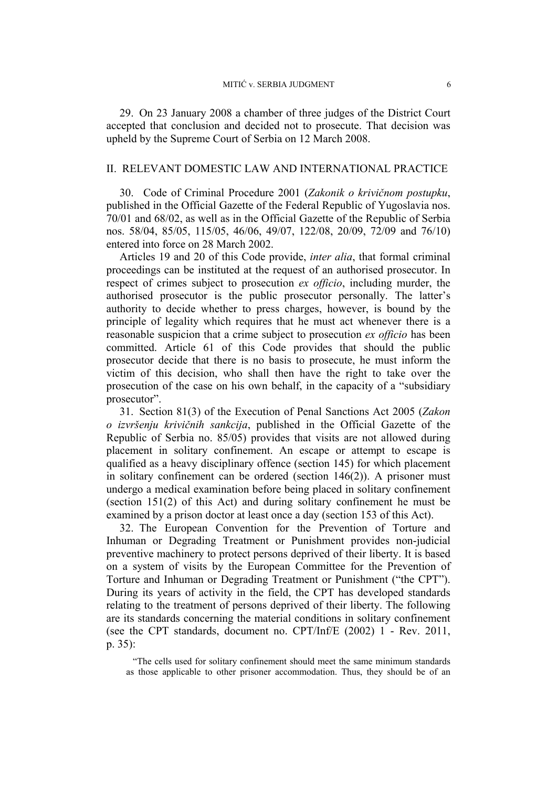29. On 23 January 2008 a chamber of three judges of the District Court accepted that conclusion and decided not to prosecute. That decision was upheld by the Supreme Court of Serbia on 12 March 2008.

# II. RELEVANT DOMESTIC LAW AND INTERNATIONAL PRACTICE

30. Code of Criminal Procedure 2001 (*Zakonik o krivičnom postupku*, published in the Official Gazette of the Federal Republic of Yugoslavia nos. 70/01 and 68/02, as well as in the Official Gazette of the Republic of Serbia nos. 58/04, 85/05, 115/05, 46/06, 49/07, 122/08, 20/09, 72/09 and 76/10) entered into force on 28 March 2002.

Articles 19 and 20 of this Code provide, *inter alia*, that formal criminal proceedings can be instituted at the request of an authorised prosecutor. In respect of crimes subject to prosecution *ex officio*, including murder, the authorised prosecutor is the public prosecutor personally. The latter's authority to decide whether to press charges, however, is bound by the principle of legality which requires that he must act whenever there is a reasonable suspicion that a crime subject to prosecution *ex officio* has been committed. Article 61 of this Code provides that should the public prosecutor decide that there is no basis to prosecute, he must inform the victim of this decision, who shall then have the right to take over the prosecution of the case on his own behalf, in the capacity of a "subsidiary prosecutor".

31. Section 81(3) of the Execution of Penal Sanctions Act 2005 (*Zakon o izvršenju krivičnih sankcija*, published in the Official Gazette of the Republic of Serbia no. 85/05) provides that visits are not allowed during placement in solitary confinement. An escape or attempt to escape is qualified as a heavy disciplinary offence (section 145) for which placement in solitary confinement can be ordered (section 146(2)). A prisoner must undergo a medical examination before being placed in solitary confinement (section 151(2) of this Act) and during solitary confinement he must be examined by a prison doctor at least once a day (section 153 of this Act).

32. The European Convention for the Prevention of Torture and Inhuman or Degrading Treatment or Punishment provides non-judicial preventive machinery to protect persons deprived of their liberty. It is based on a system of visits by the European Committee for the Prevention of Torture and Inhuman or Degrading Treatment or Punishment ("the CPT"). During its years of activity in the field, the CPT has developed standards relating to the treatment of persons deprived of their liberty. The following are its standards concerning the material conditions in solitary confinement (see the CPT standards, document no. CPT/Inf/E (2002) 1 - Rev. 2011, p. 35):

"The cells used for solitary confinement should meet the same minimum standards as those applicable to other prisoner accommodation. Thus, they should be of an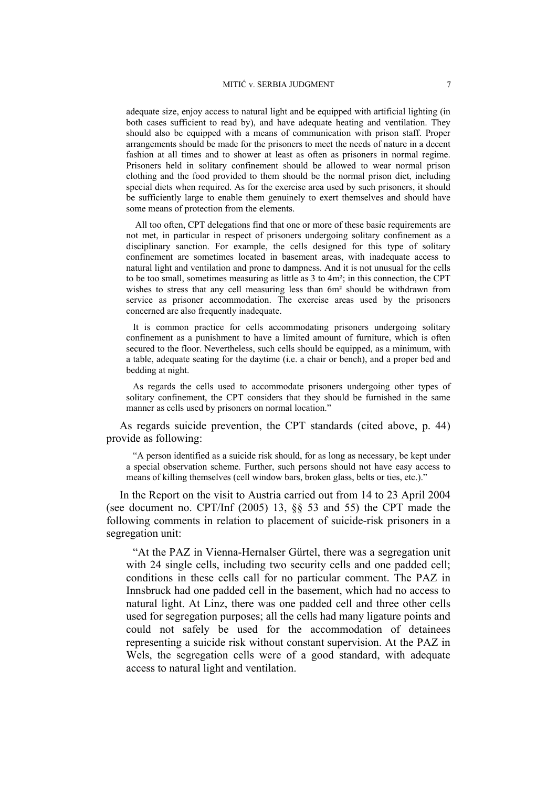adequate size, enjoy access to natural light and be equipped with artificial lighting (in both cases sufficient to read by), and have adequate heating and ventilation. They should also be equipped with a means of communication with prison staff. Proper arrangements should be made for the prisoners to meet the needs of nature in a decent fashion at all times and to shower at least as often as prisoners in normal regime. Prisoners held in solitary confinement should be allowed to wear normal prison clothing and the food provided to them should be the normal prison diet, including special diets when required. As for the exercise area used by such prisoners, it should be sufficiently large to enable them genuinely to exert themselves and should have some means of protection from the elements.

 All too often, CPT delegations find that one or more of these basic requirements are not met, in particular in respect of prisoners undergoing solitary confinement as a disciplinary sanction. For example, the cells designed for this type of solitary confinement are sometimes located in basement areas, with inadequate access to natural light and ventilation and prone to dampness. And it is not unusual for the cells to be too small, sometimes measuring as little as 3 to 4m²; in this connection, the CPT wishes to stress that any cell measuring less than 6m² should be withdrawn from service as prisoner accommodation. The exercise areas used by the prisoners concerned are also frequently inadequate.

It is common practice for cells accommodating prisoners undergoing solitary confinement as a punishment to have a limited amount of furniture, which is often secured to the floor. Nevertheless, such cells should be equipped, as a minimum, with a table, adequate seating for the daytime (i.e. a chair or bench), and a proper bed and bedding at night.

As regards the cells used to accommodate prisoners undergoing other types of solitary confinement, the CPT considers that they should be furnished in the same manner as cells used by prisoners on normal location."

As regards suicide prevention, the CPT standards (cited above, p. 44) provide as following:

"A person identified as a suicide risk should, for as long as necessary, be kept under a special observation scheme. Further, such persons should not have easy access to means of killing themselves (cell window bars, broken glass, belts or ties, etc.)."

In the Report on the visit to Austria carried out from 14 to 23 April 2004 (see document no. CPT/Inf (2005) 13, §§ 53 and 55) the CPT made the following comments in relation to placement of suicide-risk prisoners in a segregation unit:

"At the PAZ in Vienna-Hernalser Gürtel, there was a segregation unit with 24 single cells, including two security cells and one padded cell; conditions in these cells call for no particular comment. The PAZ in Innsbruck had one padded cell in the basement, which had no access to natural light. At Linz, there was one padded cell and three other cells used for segregation purposes; all the cells had many ligature points and could not safely be used for the accommodation of detainees representing a suicide risk without constant supervision. At the PAZ in Wels, the segregation cells were of a good standard, with adequate access to natural light and ventilation.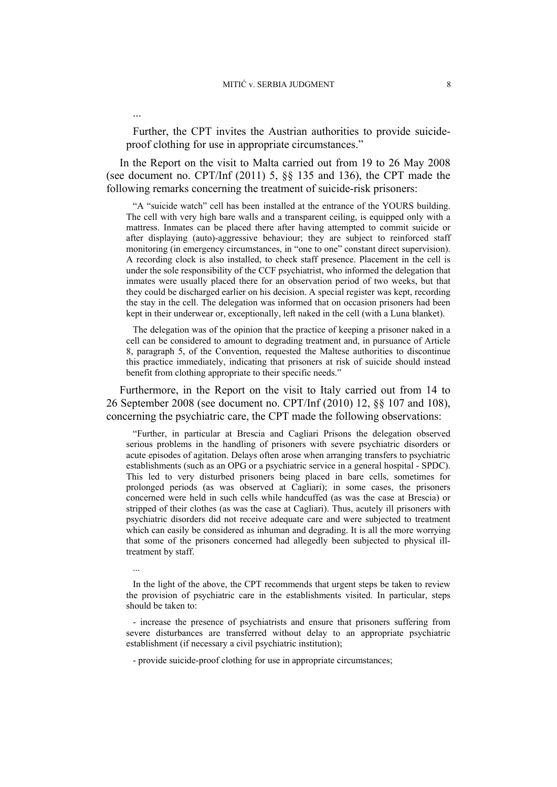Further, the CPT invites the Austrian authorities to provide suicideproof clothing for use in appropriate circumstances."

In the Report on the visit to Malta carried out from 19 to 26 May 2008 (see document no. CPT/Inf (2011) 5, §§ 135 and 136), the CPT made the following remarks concerning the treatment of suicide-risk prisoners:

"A "suicide watch" cell has been installed at the entrance of the YOURS building. The cell with very high bare walls and a transparent ceiling, is equipped only with a mattress. Inmates can be placed there after having attempted to commit suicide or after displaying (auto)-aggressive behaviour; they are subject to reinforced staff monitoring (in emergency circumstances, in "one to one" constant direct supervision). A recording clock is also installed, to check staff presence. Placement in the cell is under the sole responsibility of the CCF psychiatrist, who informed the delegation that inmates were usually placed there for an observation period of two weeks, but that they could be discharged earlier on his decision. A special register was kept, recording the stay in the cell. The delegation was informed that on occasion prisoners had been kept in their underwear or, exceptionally, left naked in the cell (with a Luna blanket).

The delegation was of the opinion that the practice of keeping a prisoner naked in a cell can be considered to amount to degrading treatment and, in pursuance of Article 8, paragraph 5, of the Convention, requested the Maltese authorities to discontinue this practice immediately, indicating that prisoners at risk of suicide should instead benefit from clothing appropriate to their specific needs."

Furthermore, in the Report on the visit to Italy carried out from 14 to 26 September 2008 (see document no. CPT/Inf (2010) 12, §§ 107 and 108), concerning the psychiatric care, the CPT made the following observations:

"Further, in particular at Brescia and Cagliari Prisons the delegation observed serious problems in the handling of prisoners with severe psychiatric disorders or acute episodes of agitation. Delays often arose when arranging transfers to psychiatric establishments (such as an OPG or a psychiatric service in a general hospital - SPDC). This led to very disturbed prisoners being placed in bare cells, sometimes for prolonged periods (as was observed at Cagliari); in some cases, the prisoners concerned were held in such cells while handcuffed (as was the case at Brescia) or stripped of their clothes (as was the case at Cagliari). Thus, acutely ill prisoners with psychiatric disorders did not receive adequate care and were subjected to treatment which can easily be considered as inhuman and degrading. It is all the more worrying that some of the prisoners concerned had allegedly been subjected to physical illtreatment by staff.

...

...

In the light of the above, the CPT recommends that urgent steps be taken to review the provision of psychiatric care in the establishments visited. In particular, steps should be taken to:

- increase the presence of psychiatrists and ensure that prisoners suffering from severe disturbances are transferred without delay to an appropriate psychiatric establishment (if necessary a civil psychiatric institution);

<sup>-</sup> provide suicide-proof clothing for use in appropriate circumstances;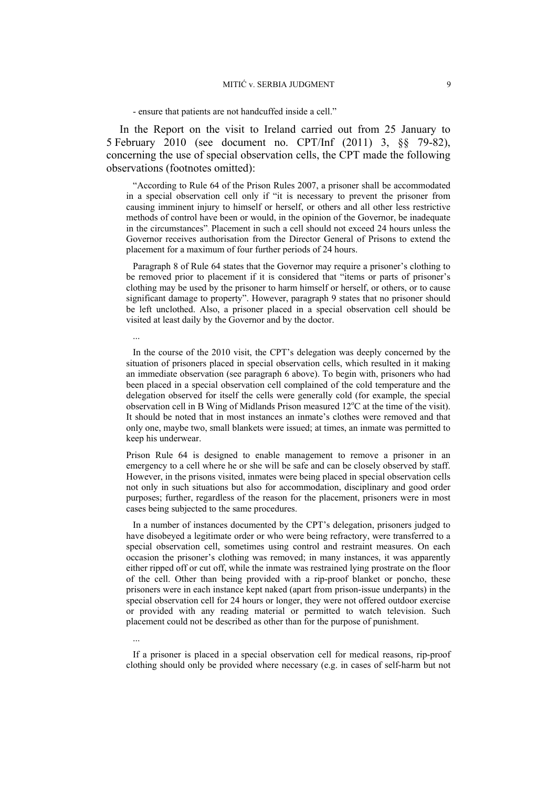- ensure that patients are not handcuffed inside a cell."

In the Report on the visit to Ireland carried out from 25 January to 5 February 2010 (see document no. CPT/Inf (2011) 3, §§ 79-82), concerning the use of special observation cells, the CPT made the following observations (footnotes omitted):

"According to Rule 64 of the Prison Rules 2007, a prisoner shall be accommodated in a special observation cell only if "it is necessary to prevent the prisoner from causing imminent injury to himself or herself, or others and all other less restrictive methods of control have been or would, in the opinion of the Governor, be inadequate in the circumstances". Placement in such a cell should not exceed 24 hours unless the Governor receives authorisation from the Director General of Prisons to extend the placement for a maximum of four further periods of 24 hours.

Paragraph 8 of Rule 64 states that the Governor may require a prisoner's clothing to be removed prior to placement if it is considered that "items or parts of prisoner's clothing may be used by the prisoner to harm himself or herself, or others, or to cause significant damage to property". However, paragraph 9 states that no prisoner should be left unclothed. Also, a prisoner placed in a special observation cell should be visited at least daily by the Governor and by the doctor.

...

In the course of the 2010 visit, the CPT's delegation was deeply concerned by the situation of prisoners placed in special observation cells, which resulted in it making an immediate observation (see paragraph 6 above). To begin with, prisoners who had been placed in a special observation cell complained of the cold temperature and the delegation observed for itself the cells were generally cold (for example, the special observation cell in B Wing of Midlands Prison measured  $12^{\circ}$ C at the time of the visit). It should be noted that in most instances an inmate's clothes were removed and that only one, maybe two, small blankets were issued; at times, an inmate was permitted to keep his underwear.

Prison Rule 64 is designed to enable management to remove a prisoner in an emergency to a cell where he or she will be safe and can be closely observed by staff. However, in the prisons visited, inmates were being placed in special observation cells not only in such situations but also for accommodation, disciplinary and good order purposes; further, regardless of the reason for the placement, prisoners were in most cases being subjected to the same procedures.

In a number of instances documented by the CPT's delegation, prisoners judged to have disobeyed a legitimate order or who were being refractory, were transferred to a special observation cell, sometimes using control and restraint measures. On each occasion the prisoner's clothing was removed; in many instances, it was apparently either ripped off or cut off, while the inmate was restrained lying prostrate on the floor of the cell. Other than being provided with a rip-proof blanket or poncho, these prisoners were in each instance kept naked (apart from prison-issue underpants) in the special observation cell for 24 hours or longer, they were not offered outdoor exercise or provided with any reading material or permitted to watch television. Such placement could not be described as other than for the purpose of punishment.

...

If a prisoner is placed in a special observation cell for medical reasons, rip-proof clothing should only be provided where necessary (e.g. in cases of self-harm but not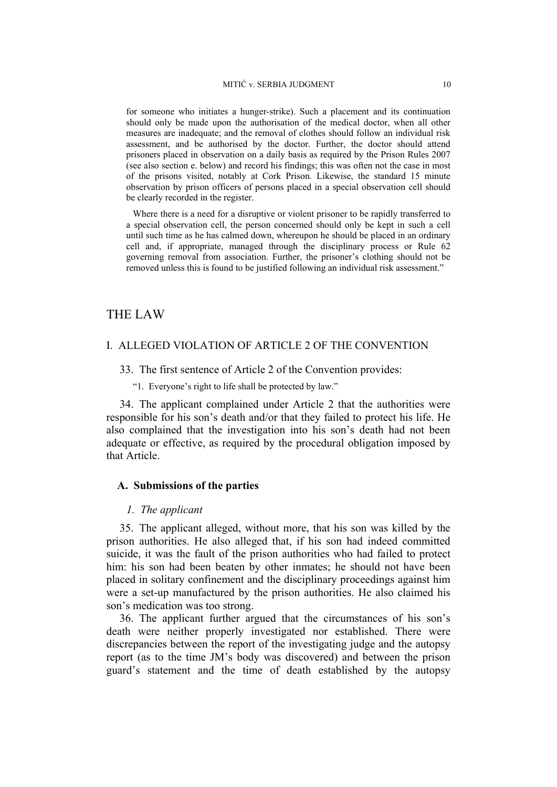for someone who initiates a hunger-strike). Such a placement and its continuation should only be made upon the authorisation of the medical doctor, when all other measures are inadequate; and the removal of clothes should follow an individual risk assessment, and be authorised by the doctor. Further, the doctor should attend prisoners placed in observation on a daily basis as required by the Prison Rules 2007 (see also section e. below) and record his findings; this was often not the case in most of the prisons visited, notably at Cork Prison. Likewise, the standard 15 minute observation by prison officers of persons placed in a special observation cell should be clearly recorded in the register.

Where there is a need for a disruptive or violent prisoner to be rapidly transferred to a special observation cell, the person concerned should only be kept in such a cell until such time as he has calmed down, whereupon he should be placed in an ordinary cell and, if appropriate, managed through the disciplinary process or Rule 62 governing removal from association. Further, the prisoner's clothing should not be removed unless this is found to be justified following an individual risk assessment."

# THE LAW

### I. ALLEGED VIOLATION OF ARTICLE 2 OF THE CONVENTION

- 33. The first sentence of Article 2 of the Convention provides:
	- "1. Everyone's right to life shall be protected by law."

34. The applicant complained under Article 2 that the authorities were responsible for his son's death and/or that they failed to protect his life. He also complained that the investigation into his son's death had not been adequate or effective, as required by the procedural obligation imposed by that Article.

#### **A. Submissions of the parties**

#### *1. The applicant*

35. The applicant alleged, without more, that his son was killed by the prison authorities. He also alleged that, if his son had indeed committed suicide, it was the fault of the prison authorities who had failed to protect him: his son had been beaten by other inmates; he should not have been placed in solitary confinement and the disciplinary proceedings against him were a set-up manufactured by the prison authorities. He also claimed his son's medication was too strong.

36. The applicant further argued that the circumstances of his son's death were neither properly investigated nor established. There were discrepancies between the report of the investigating judge and the autopsy report (as to the time JM's body was discovered) and between the prison guard's statement and the time of death established by the autopsy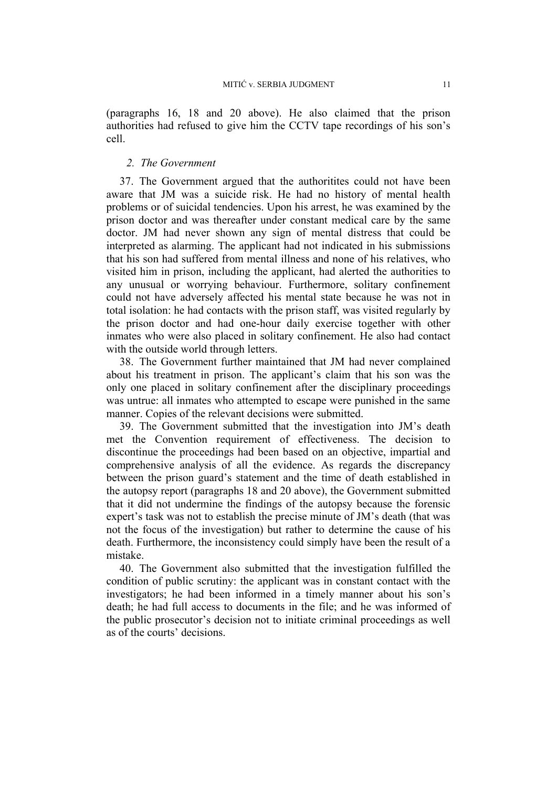(paragraphs 16, 18 and 20 above). He also claimed that the prison authorities had refused to give him the CCTV tape recordings of his son's cell.

#### *2. The Government*

37. The Government argued that the authoritites could not have been aware that JM was a suicide risk. He had no history of mental health problems or of suicidal tendencies. Upon his arrest, he was examined by the prison doctor and was thereafter under constant medical care by the same doctor. JM had never shown any sign of mental distress that could be interpreted as alarming. The applicant had not indicated in his submissions that his son had suffered from mental illness and none of his relatives, who visited him in prison, including the applicant, had alerted the authorities to any unusual or worrying behaviour. Furthermore, solitary confinement could not have adversely affected his mental state because he was not in total isolation: he had contacts with the prison staff, was visited regularly by the prison doctor and had one-hour daily exercise together with other inmates who were also placed in solitary confinement. He also had contact with the outside world through letters.

38. The Government further maintained that JM had never complained about his treatment in prison. The applicant's claim that his son was the only one placed in solitary confinement after the disciplinary proceedings was untrue: all inmates who attempted to escape were punished in the same manner. Copies of the relevant decisions were submitted.

39. The Government submitted that the investigation into JM's death met the Convention requirement of effectiveness. The decision to discontinue the proceedings had been based on an objective, impartial and comprehensive analysis of all the evidence. As regards the discrepancy between the prison guard's statement and the time of death established in the autopsy report (paragraphs 18 and 20 above), the Government submitted that it did not undermine the findings of the autopsy because the forensic expert's task was not to establish the precise minute of JM's death (that was not the focus of the investigation) but rather to determine the cause of his death. Furthermore, the inconsistency could simply have been the result of a mistake.

40. The Government also submitted that the investigation fulfilled the condition of public scrutiny: the applicant was in constant contact with the investigators; he had been informed in a timely manner about his son's death; he had full access to documents in the file; and he was informed of the public prosecutor's decision not to initiate criminal proceedings as well as of the courts' decisions.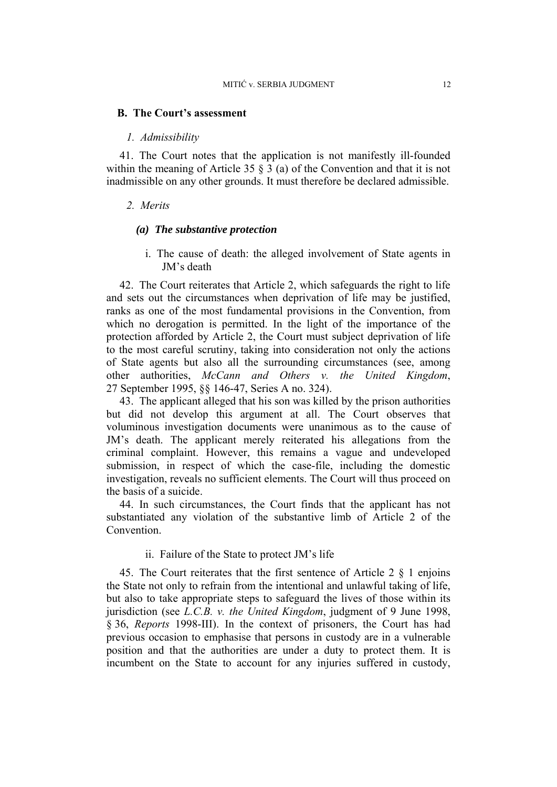#### **B. The Court's assessment**

#### *1. Admissibility*

41. The Court notes that the application is not manifestly ill-founded within the meaning of Article 35  $\S$  3 (a) of the Convention and that it is not inadmissible on any other grounds. It must therefore be declared admissible.

#### *2. Merits*

#### *(a) The substantive protection*

i. The cause of death: the alleged involvement of State agents in JM's death

42. The Court reiterates that Article 2, which safeguards the right to life and sets out the circumstances when deprivation of life may be justified, ranks as one of the most fundamental provisions in the Convention, from which no derogation is permitted. In the light of the importance of the protection afforded by Article 2, the Court must subject deprivation of life to the most careful scrutiny, taking into consideration not only the actions of State agents but also all the surrounding circumstances (see, among other authorities, *McCann and Others v. the United Kingdom*, 27 September 1995, §§ 146-47, Series A no. 324).

43. The applicant alleged that his son was killed by the prison authorities but did not develop this argument at all. The Court observes that voluminous investigation documents were unanimous as to the cause of JM's death. The applicant merely reiterated his allegations from the criminal complaint. However, this remains a vague and undeveloped submission, in respect of which the case-file, including the domestic investigation, reveals no sufficient elements. The Court will thus proceed on the basis of a suicide.

44. In such circumstances, the Court finds that the applicant has not substantiated any violation of the substantive limb of Article 2 of the **Convention** 

#### ii. Failure of the State to protect JM's life

45. The Court reiterates that the first sentence of Article 2 § 1 enjoins the State not only to refrain from the intentional and unlawful taking of life, but also to take appropriate steps to safeguard the lives of those within its jurisdiction (see *L.C.B. v. the United Kingdom*, judgment of 9 June 1998, § 36, *Reports* 1998-III). In the context of prisoners, the Court has had previous occasion to emphasise that persons in custody are in a vulnerable position and that the authorities are under a duty to protect them. It is incumbent on the State to account for any injuries suffered in custody,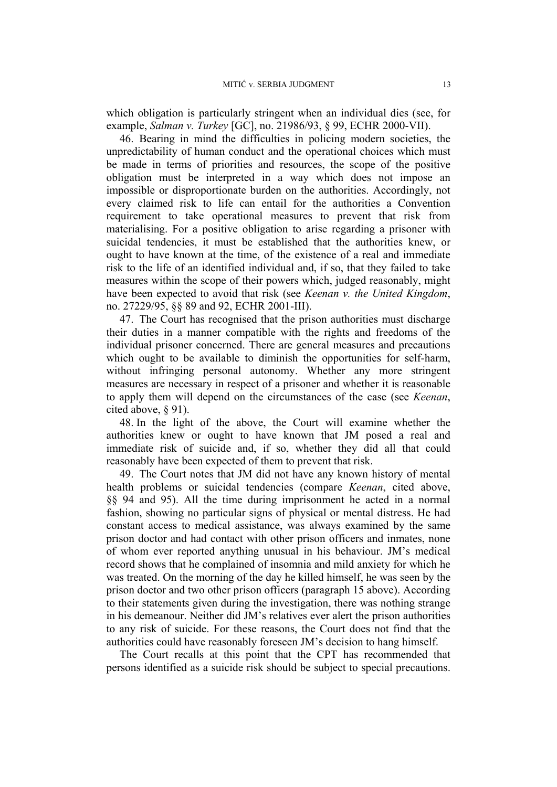which obligation is particularly stringent when an individual dies (see, for example, *Salman v. Turkey* [GC], no. 21986/93, § 99, ECHR 2000-VII).

46. Bearing in mind the difficulties in policing modern societies, the unpredictability of human conduct and the operational choices which must be made in terms of priorities and resources, the scope of the positive obligation must be interpreted in a way which does not impose an impossible or disproportionate burden on the authorities. Accordingly, not every claimed risk to life can entail for the authorities a Convention requirement to take operational measures to prevent that risk from materialising. For a positive obligation to arise regarding a prisoner with suicidal tendencies, it must be established that the authorities knew, or ought to have known at the time, of the existence of a real and immediate risk to the life of an identified individual and, if so, that they failed to take measures within the scope of their powers which, judged reasonably, might have been expected to avoid that risk (see *Keenan v. the United Kingdom*, no. 27229/95, §§ 89 and 92, ECHR 2001-III).

47. The Court has recognised that the prison authorities must discharge their duties in a manner compatible with the rights and freedoms of the individual prisoner concerned. There are general measures and precautions which ought to be available to diminish the opportunities for self-harm, without infringing personal autonomy. Whether any more stringent measures are necessary in respect of a prisoner and whether it is reasonable to apply them will depend on the circumstances of the case (see *Keenan*, cited above, § 91).

48. In the light of the above, the Court will examine whether the authorities knew or ought to have known that JM posed a real and immediate risk of suicide and, if so, whether they did all that could reasonably have been expected of them to prevent that risk.

49. The Court notes that JM did not have any known history of mental health problems or suicidal tendencies (compare *Keenan*, cited above, §§ 94 and 95). All the time during imprisonment he acted in a normal fashion, showing no particular signs of physical or mental distress. He had constant access to medical assistance, was always examined by the same prison doctor and had contact with other prison officers and inmates, none of whom ever reported anything unusual in his behaviour. JM's medical record shows that he complained of insomnia and mild anxiety for which he was treated. On the morning of the day he killed himself, he was seen by the prison doctor and two other prison officers (paragraph 15 above). According to their statements given during the investigation, there was nothing strange in his demeanour. Neither did JM's relatives ever alert the prison authorities to any risk of suicide. For these reasons, the Court does not find that the authorities could have reasonably foreseen JM's decision to hang himself.

The Court recalls at this point that the CPT has recommended that persons identified as a suicide risk should be subject to special precautions.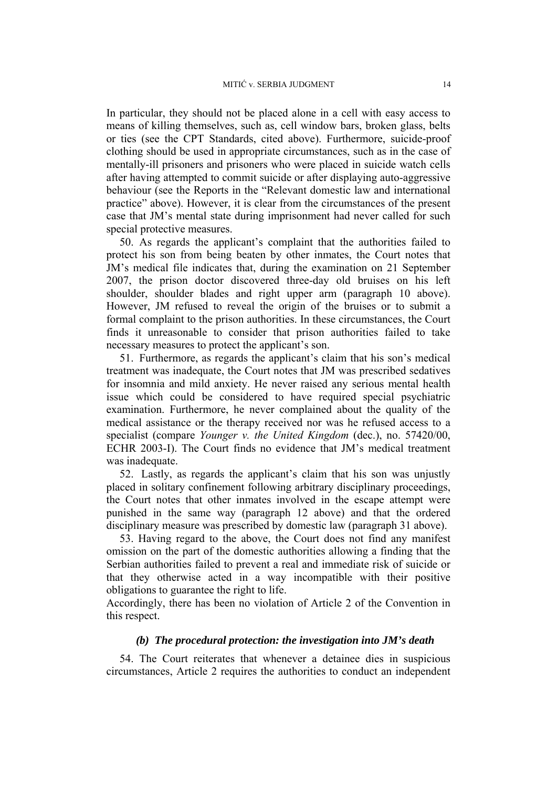In particular, they should not be placed alone in a cell with easy access to means of killing themselves, such as, cell window bars, broken glass, belts or ties (see the CPT Standards, cited above). Furthermore, suicide-proof clothing should be used in appropriate circumstances, such as in the case of mentally-ill prisoners and prisoners who were placed in suicide watch cells after having attempted to commit suicide or after displaying auto-aggressive behaviour (see the Reports in the "Relevant domestic law and international practice" above). However, it is clear from the circumstances of the present case that JM's mental state during imprisonment had never called for such special protective measures.

50. As regards the applicant's complaint that the authorities failed to protect his son from being beaten by other inmates, the Court notes that JM's medical file indicates that, during the examination on 21 September 2007, the prison doctor discovered three-day old bruises on his left shoulder, shoulder blades and right upper arm (paragraph 10 above). However, JM refused to reveal the origin of the bruises or to submit a formal complaint to the prison authorities. In these circumstances, the Court finds it unreasonable to consider that prison authorities failed to take necessary measures to protect the applicant's son.

51. Furthermore, as regards the applicant's claim that his son's medical treatment was inadequate, the Court notes that JM was prescribed sedatives for insomnia and mild anxiety. He never raised any serious mental health issue which could be considered to have required special psychiatric examination. Furthermore, he never complained about the quality of the medical assistance or the therapy received nor was he refused access to a specialist (compare *Younger v. the United Kingdom* (dec.), no. 57420/00, ECHR 2003-I). The Court finds no evidence that JM's medical treatment was inadequate.

52. Lastly, as regards the applicant's claim that his son was unjustly placed in solitary confinement following arbitrary disciplinary proceedings, the Court notes that other inmates involved in the escape attempt were punished in the same way (paragraph 12 above) and that the ordered disciplinary measure was prescribed by domestic law (paragraph 31 above).

53. Having regard to the above, the Court does not find any manifest omission on the part of the domestic authorities allowing a finding that the Serbian authorities failed to prevent a real and immediate risk of suicide or that they otherwise acted in a way incompatible with their positive obligations to guarantee the right to life.

Accordingly, there has been no violation of Article 2 of the Convention in this respect.

#### *(b) The procedural protection: the investigation into JM's death*

54. The Court reiterates that whenever a detainee dies in suspicious circumstances, Article 2 requires the authorities to conduct an independent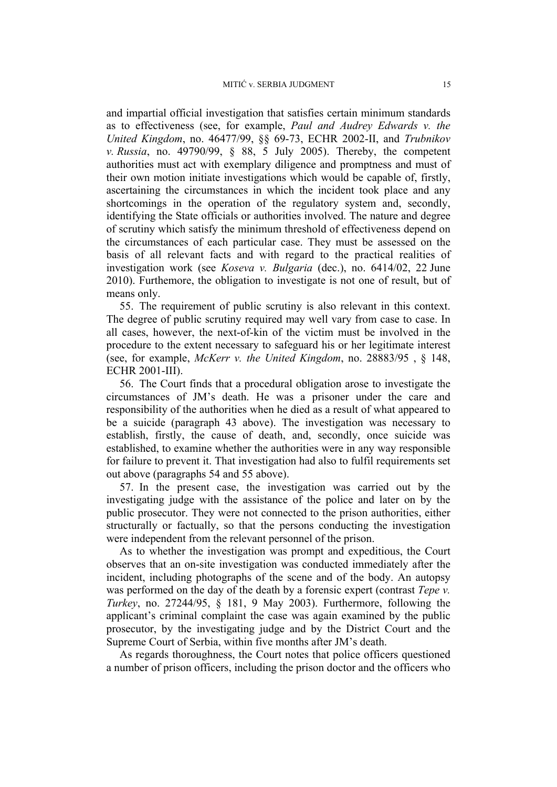and impartial official investigation that satisfies certain minimum standards as to effectiveness (see, for example, *Paul and Audrey Edwards v. the United Kingdom*, no. 46477/99, §§ 69-73, ECHR 2002-II, and *Trubnikov v. Russia*, no. 49790/99, § 88, 5 July 2005). Thereby, the competent authorities must act with exemplary diligence and promptness and must of their own motion initiate investigations which would be capable of, firstly, ascertaining the circumstances in which the incident took place and any shortcomings in the operation of the regulatory system and, secondly, identifying the State officials or authorities involved. The nature and degree of scrutiny which satisfy the minimum threshold of effectiveness depend on the circumstances of each particular case. They must be assessed on the basis of all relevant facts and with regard to the practical realities of investigation work (see *Koseva v. Bulgaria* (dec.), no. 6414/02, 22 June 2010). Furthemore, the obligation to investigate is not one of result, but of means only.

55. The requirement of public scrutiny is also relevant in this context. The degree of public scrutiny required may well vary from case to case. In all cases, however, the next-of-kin of the victim must be involved in the procedure to the extent necessary to safeguard his or her legitimate interest (see, for example, *McKerr v. the United Kingdom*, no. 28883/95 , § 148, ECHR 2001-III).

56. The Court finds that a procedural obligation arose to investigate the circumstances of JM's death. He was a prisoner under the care and responsibility of the authorities when he died as a result of what appeared to be a suicide (paragraph 43 above). The investigation was necessary to establish, firstly, the cause of death, and, secondly, once suicide was established, to examine whether the authorities were in any way responsible for failure to prevent it. That investigation had also to fulfil requirements set out above (paragraphs 54 and 55 above).

57. In the present case, the investigation was carried out by the investigating judge with the assistance of the police and later on by the public prosecutor. They were not connected to the prison authorities, either structurally or factually, so that the persons conducting the investigation were independent from the relevant personnel of the prison.

As to whether the investigation was prompt and expeditious, the Court observes that an on-site investigation was conducted immediately after the incident, including photographs of the scene and of the body. An autopsy was performed on the day of the death by a forensic expert (contrast *Tepe v. Turkey*, no. 27244/95, § 181, 9 May 2003). Furthermore, following the applicant's criminal complaint the case was again examined by the public prosecutor, by the investigating judge and by the District Court and the Supreme Court of Serbia, within five months after JM's death.

As regards thoroughness, the Court notes that police officers questioned a number of prison officers, including the prison doctor and the officers who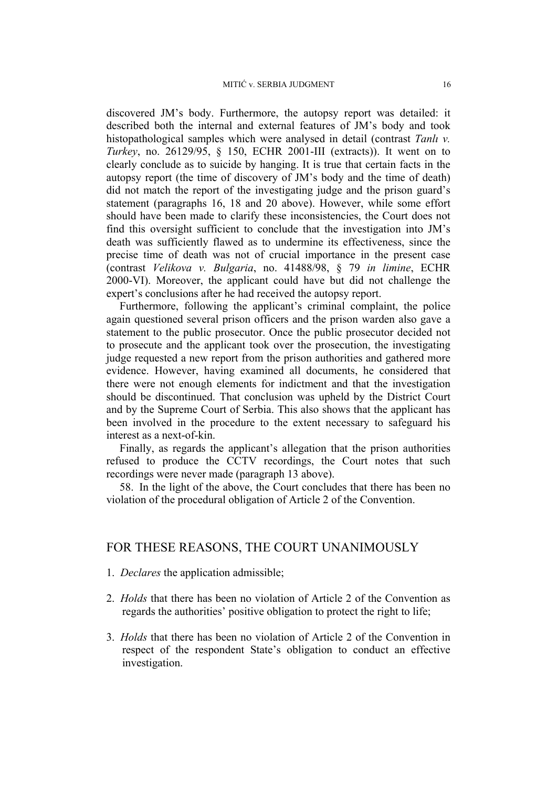discovered JM's body. Furthermore, the autopsy report was detailed: it described both the internal and external features of JM's body and took histopathological samples which were analysed in detail (contrast *Tanlı v. Turkey*, no. 26129/95, § 150, ECHR 2001-III (extracts)). It went on to clearly conclude as to suicide by hanging. It is true that certain facts in the autopsy report (the time of discovery of JM's body and the time of death) did not match the report of the investigating judge and the prison guard's statement (paragraphs 16, 18 and 20 above). However, while some effort should have been made to clarify these inconsistencies, the Court does not find this oversight sufficient to conclude that the investigation into JM's death was sufficiently flawed as to undermine its effectiveness, since the precise time of death was not of crucial importance in the present case (contrast *Velikova v. Bulgaria*, no. 41488/98, § 79 *in limine*, ECHR 2000-VI). Moreover, the applicant could have but did not challenge the expert's conclusions after he had received the autopsy report.

Furthermore, following the applicant's criminal complaint, the police again questioned several prison officers and the prison warden also gave a statement to the public prosecutor. Once the public prosecutor decided not to prosecute and the applicant took over the prosecution, the investigating judge requested a new report from the prison authorities and gathered more evidence. However, having examined all documents, he considered that there were not enough elements for indictment and that the investigation should be discontinued. That conclusion was upheld by the District Court and by the Supreme Court of Serbia. This also shows that the applicant has been involved in the procedure to the extent necessary to safeguard his interest as a next-of-kin.

Finally, as regards the applicant's allegation that the prison authorities refused to produce the CCTV recordings, the Court notes that such recordings were never made (paragraph 13 above).

58. In the light of the above, the Court concludes that there has been no violation of the procedural obligation of Article 2 of the Convention.

# FOR THESE REASONS, THE COURT UNANIMOUSLY

- 1. *Declares* the application admissible;
- 2. *Holds* that there has been no violation of Article 2 of the Convention as regards the authorities' positive obligation to protect the right to life;
- 3. *Holds* that there has been no violation of Article 2 of the Convention in respect of the respondent State's obligation to conduct an effective investigation.